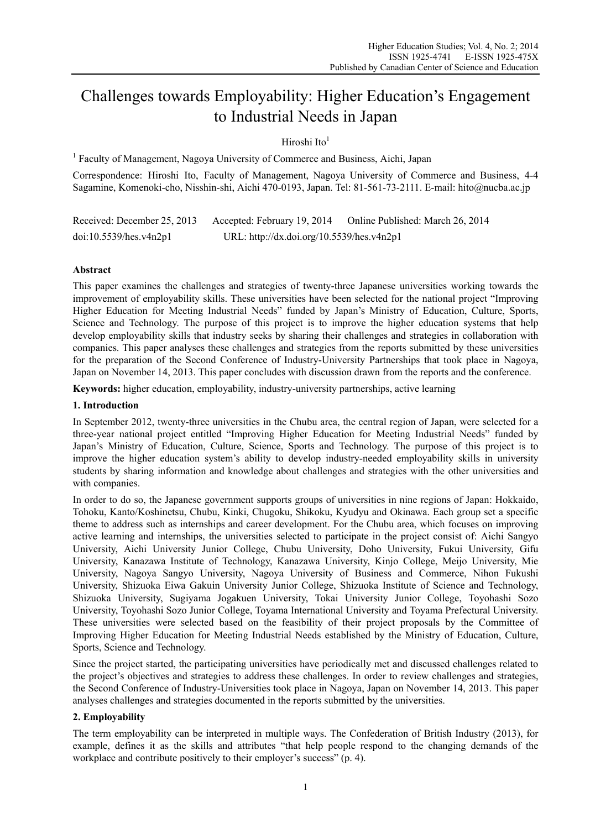# Challenges towards Employability: Higher Education's Engagement to Industrial Needs in Japan

Hiroshi Ito $<sup>1</sup>$ </sup>

<sup>1</sup> Faculty of Management, Nagoya University of Commerce and Business, Aichi, Japan

Correspondence: Hiroshi Ito, Faculty of Management, Nagoya University of Commerce and Business, 4-4 Sagamine, Komenoki-cho, Nisshin-shi, Aichi 470-0193, Japan. Tel: 81-561-73-2111. E-mail: hito@nucba.ac.jp

Received: December 25, 2013 Accepted: February 19, 2014 Online Published: March 26, 2014 doi:10.5539/hes.v4n2p1 URL: http://dx.doi.org/10.5539/hes.v4n2p1

# **Abstract**

This paper examines the challenges and strategies of twenty-three Japanese universities working towards the improvement of employability skills. These universities have been selected for the national project "Improving Higher Education for Meeting Industrial Needs" funded by Japan's Ministry of Education, Culture, Sports, Science and Technology. The purpose of this project is to improve the higher education systems that help develop employability skills that industry seeks by sharing their challenges and strategies in collaboration with companies. This paper analyses these challenges and strategies from the reports submitted by these universities for the preparation of the Second Conference of Industry-University Partnerships that took place in Nagoya, Japan on November 14, 2013. This paper concludes with discussion drawn from the reports and the conference.

**Keywords:** higher education, employability, industry-university partnerships, active learning

## **1. Introduction**

In September 2012, twenty-three universities in the Chubu area, the central region of Japan, were selected for a three-year national project entitled "Improving Higher Education for Meeting Industrial Needs" funded by Japan's Ministry of Education, Culture, Science, Sports and Technology. The purpose of this project is to improve the higher education system's ability to develop industry-needed employability skills in university students by sharing information and knowledge about challenges and strategies with the other universities and with companies.

In order to do so, the Japanese government supports groups of universities in nine regions of Japan: Hokkaido, Tohoku, Kanto/Koshinetsu, Chubu, Kinki, Chugoku, Shikoku, Kyudyu and Okinawa. Each group set a specific theme to address such as internships and career development. For the Chubu area, which focuses on improving active learning and internships, the universities selected to participate in the project consist of: Aichi Sangyo University, Aichi University Junior College, Chubu University, Doho University, Fukui University, Gifu University, Kanazawa Institute of Technology, Kanazawa University, Kinjo College, Meijo University, Mie University, Nagoya Sangyo University, Nagoya University of Business and Commerce, Nihon Fukushi University, Shizuoka Eiwa Gakuin University Junior College, Shizuoka Institute of Science and Technology, Shizuoka University, Sugiyama Jogakuen University, Tokai University Junior College, Toyohashi Sozo University, Toyohashi Sozo Junior College, Toyama International University and Toyama Prefectural University. These universities were selected based on the feasibility of their project proposals by the Committee of Improving Higher Education for Meeting Industrial Needs established by the Ministry of Education, Culture, Sports, Science and Technology.

Since the project started, the participating universities have periodically met and discussed challenges related to the project's objectives and strategies to address these challenges. In order to review challenges and strategies, the Second Conference of Industry-Universities took place in Nagoya, Japan on November 14, 2013. This paper analyses challenges and strategies documented in the reports submitted by the universities.

# **2. Employability**

The term employability can be interpreted in multiple ways. The Confederation of British Industry (2013), for example, defines it as the skills and attributes "that help people respond to the changing demands of the workplace and contribute positively to their employer's success" (p. 4).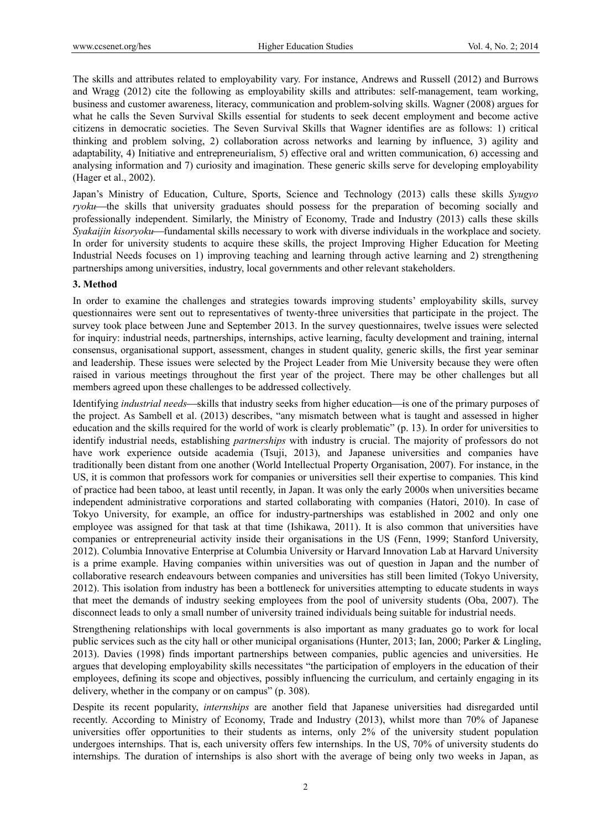The skills and attributes related to employability vary. For instance, Andrews and Russell (2012) and Burrows and Wragg (2012) cite the following as employability skills and attributes: self-management, team working, business and customer awareness, literacy, communication and problem-solving skills. Wagner (2008) argues for what he calls the Seven Survival Skills essential for students to seek decent employment and become active citizens in democratic societies. The Seven Survival Skills that Wagner identifies are as follows: 1) critical thinking and problem solving, 2) collaboration across networks and learning by influence, 3) agility and adaptability, 4) Initiative and entrepreneurialism, 5) effective oral and written communication, 6) accessing and analysing information and 7) curiosity and imagination. These generic skills serve for developing employability (Hager et al., 2002).

Japan's Ministry of Education, Culture, Sports, Science and Technology (2013) calls these skills *Syugyo ryoku*—the skills that university graduates should possess for the preparation of becoming socially and professionally independent. Similarly, the Ministry of Economy, Trade and Industry (2013) calls these skills *Syakaijin kisoryoku*—fundamental skills necessary to work with diverse individuals in the workplace and society. In order for university students to acquire these skills, the project Improving Higher Education for Meeting Industrial Needs focuses on 1) improving teaching and learning through active learning and 2) strengthening partnerships among universities, industry, local governments and other relevant stakeholders.

## **3. Method**

In order to examine the challenges and strategies towards improving students' employability skills, survey questionnaires were sent out to representatives of twenty-three universities that participate in the project. The survey took place between June and September 2013. In the survey questionnaires, twelve issues were selected for inquiry: industrial needs, partnerships, internships, active learning, faculty development and training, internal consensus, organisational support, assessment, changes in student quality, generic skills, the first year seminar and leadership. These issues were selected by the Project Leader from Mie University because they were often raised in various meetings throughout the first year of the project. There may be other challenges but all members agreed upon these challenges to be addressed collectively.

Identifying *industrial needs*—skills that industry seeks from higher education—is one of the primary purposes of the project. As Sambell et al. (2013) describes, "any mismatch between what is taught and assessed in higher education and the skills required for the world of work is clearly problematic" (p. 13). In order for universities to identify industrial needs, establishing *partnerships* with industry is crucial. The majority of professors do not have work experience outside academia (Tsuji, 2013), and Japanese universities and companies have traditionally been distant from one another (World Intellectual Property Organisation, 2007). For instance, in the US, it is common that professors work for companies or universities sell their expertise to companies. This kind of practice had been taboo, at least until recently, in Japan. It was only the early 2000s when universities became independent administrative corporations and started collaborating with companies (Hatori, 2010). In case of Tokyo University, for example, an office for industry-partnerships was established in 2002 and only one employee was assigned for that task at that time (Ishikawa, 2011). It is also common that universities have companies or entrepreneurial activity inside their organisations in the US (Fenn, 1999; Stanford University, 2012). Columbia Innovative Enterprise at Columbia University or Harvard Innovation Lab at Harvard University is a prime example. Having companies within universities was out of question in Japan and the number of collaborative research endeavours between companies and universities has still been limited (Tokyo University, 2012). This isolation from industry has been a bottleneck for universities attempting to educate students in ways that meet the demands of industry seeking employees from the pool of university students (Oba, 2007). The disconnect leads to only a small number of university trained individuals being suitable for industrial needs.

Strengthening relationships with local governments is also important as many graduates go to work for local public services such as the city hall or other municipal organisations (Hunter, 2013; Ian, 2000; Parker & Lingling, 2013). Davies (1998) finds important partnerships between companies, public agencies and universities. He argues that developing employability skills necessitates "the participation of employers in the education of their employees, defining its scope and objectives, possibly influencing the curriculum, and certainly engaging in its delivery, whether in the company or on campus" (p. 308).

Despite its recent popularity, *internships* are another field that Japanese universities had disregarded until recently. According to Ministry of Economy, Trade and Industry (2013), whilst more than 70% of Japanese universities offer opportunities to their students as interns, only 2% of the university student population undergoes internships. That is, each university offers few internships. In the US, 70% of university students do internships. The duration of internships is also short with the average of being only two weeks in Japan, as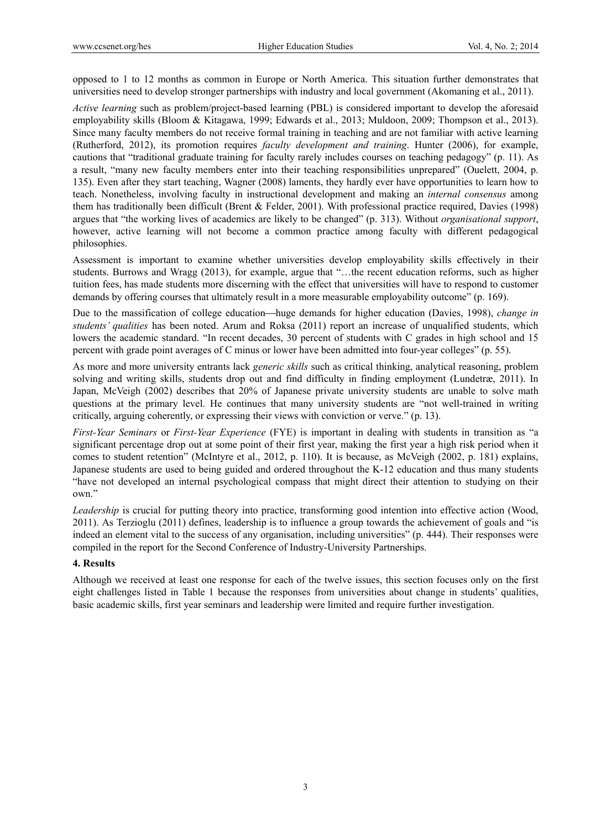opposed to 1 to 12 months as common in Europe or North America. This situation further demonstrates that universities need to develop stronger partnerships with industry and local government (Akomaning et al., 2011).

*Active learning* such as problem/project-based learning (PBL) is considered important to develop the aforesaid employability skills (Bloom & Kitagawa, 1999; Edwards et al., 2013; Muldoon, 2009; Thompson et al., 2013). Since many faculty members do not receive formal training in teaching and are not familiar with active learning (Rutherford, 2012), its promotion requires *faculty development and training*. Hunter (2006), for example, cautions that "traditional graduate training for faculty rarely includes courses on teaching pedagogy" (p. 11). As a result, "many new faculty members enter into their teaching responsibilities unprepared" (Ouelett, 2004, p. 135). Even after they start teaching, Wagner (2008) laments, they hardly ever have opportunities to learn how to teach. Nonetheless, involving faculty in instructional development and making an *internal consensus* among them has traditionally been difficult (Brent & Felder, 2001). With professional practice required, Davies (1998) argues that "the working lives of academics are likely to be changed" (p. 313). Without *organisational support*, however, active learning will not become a common practice among faculty with different pedagogical philosophies.

Assessment is important to examine whether universities develop employability skills effectively in their students. Burrows and Wragg (2013), for example, argue that "…the recent education reforms, such as higher tuition fees, has made students more discerning with the effect that universities will have to respond to customer demands by offering courses that ultimately result in a more measurable employability outcome" (p. 169).

Due to the massification of college education—huge demands for higher education (Davies, 1998), *change in students' qualities* has been noted. Arum and Roksa (2011) report an increase of unqualified students, which lowers the academic standard. "In recent decades, 30 percent of students with C grades in high school and 15 percent with grade point averages of C minus or lower have been admitted into four-year colleges" (p. 55).

As more and more university entrants lack *generic skills* such as critical thinking, analytical reasoning, problem solving and writing skills, students drop out and find difficulty in finding employment (Lundetræ, 2011). In Japan, McVeigh (2002) describes that 20% of Japanese private university students are unable to solve math questions at the primary level. He continues that many university students are "not well-trained in writing critically, arguing coherently, or expressing their views with conviction or verve." (p. 13).

*First-Year Seminars* or *First-Year Experience* (FYE) is important in dealing with students in transition as "a significant percentage drop out at some point of their first year, making the first year a high risk period when it comes to student retention" (McIntyre et al., 2012, p. 110). It is because, as McVeigh (2002, p. 181) explains, Japanese students are used to being guided and ordered throughout the K-12 education and thus many students "have not developed an internal psychological compass that might direct their attention to studying on their own."

*Leadership* is crucial for putting theory into practice, transforming good intention into effective action (Wood, 2011). As Terzioglu (2011) defines, leadership is to influence a group towards the achievement of goals and "is indeed an element vital to the success of any organisation, including universities" (p. 444). Their responses were compiled in the report for the Second Conference of Industry-University Partnerships.

## **4. Results**

Although we received at least one response for each of the twelve issues, this section focuses only on the first eight challenges listed in Table 1 because the responses from universities about change in students' qualities, basic academic skills, first year seminars and leadership were limited and require further investigation.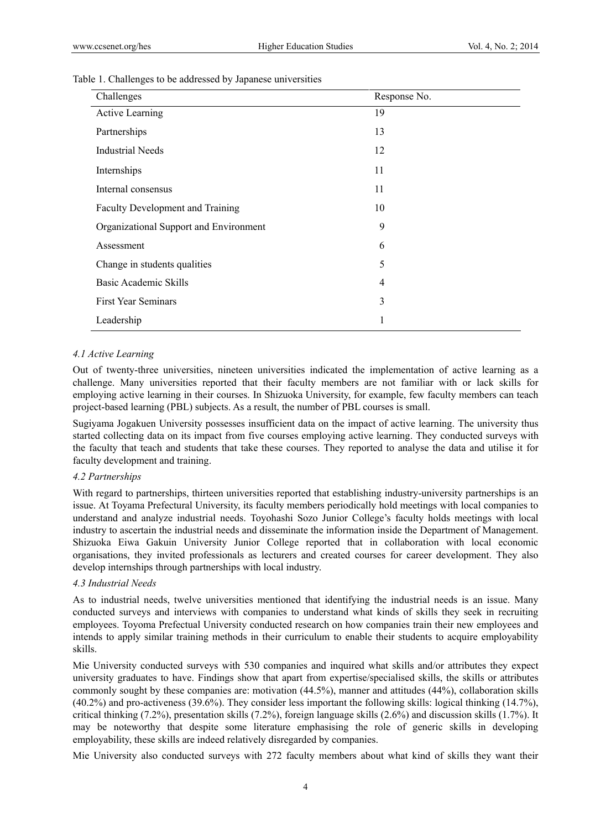| Table 1. Challenges to be addressed by Japanese universities |  |  |  |  |  |  |  |  |  |
|--------------------------------------------------------------|--|--|--|--|--|--|--|--|--|
|--------------------------------------------------------------|--|--|--|--|--|--|--|--|--|

| Challenges                             | Response No. |
|----------------------------------------|--------------|
| Active Learning                        | 19           |
| Partnerships                           | 13           |
| Industrial Needs                       | 12           |
| Internships                            | 11           |
| Internal consensus                     | 11           |
| Faculty Development and Training       | 10           |
| Organizational Support and Environment | 9            |
| Assessment                             | 6            |
| Change in students qualities           | 5            |
| Basic Academic Skills                  | 4            |
| <b>First Year Seminars</b>             | 3            |
| Leadership                             | 1            |

## *4.1 Active Learning*

Out of twenty-three universities, nineteen universities indicated the implementation of active learning as a challenge. Many universities reported that their faculty members are not familiar with or lack skills for employing active learning in their courses. In Shizuoka University, for example, few faculty members can teach project-based learning (PBL) subjects. As a result, the number of PBL courses is small.

Sugiyama Jogakuen University possesses insufficient data on the impact of active learning. The university thus started collecting data on its impact from five courses employing active learning. They conducted surveys with the faculty that teach and students that take these courses. They reported to analyse the data and utilise it for faculty development and training.

## *4.2 Partnerships*

With regard to partnerships, thirteen universities reported that establishing industry-university partnerships is an issue. At Toyama Prefectural University, its faculty members periodically hold meetings with local companies to understand and analyze industrial needs. Toyohashi Sozo Junior College's faculty holds meetings with local industry to ascertain the industrial needs and disseminate the information inside the Department of Management. Shizuoka Eiwa Gakuin University Junior College reported that in collaboration with local economic organisations, they invited professionals as lecturers and created courses for career development. They also develop internships through partnerships with local industry.

## *4.3 Industrial Needs*

As to industrial needs, twelve universities mentioned that identifying the industrial needs is an issue. Many conducted surveys and interviews with companies to understand what kinds of skills they seek in recruiting employees. Toyoma Prefectual University conducted research on how companies train their new employees and intends to apply similar training methods in their curriculum to enable their students to acquire employability skills.

Mie University conducted surveys with 530 companies and inquired what skills and/or attributes they expect university graduates to have. Findings show that apart from expertise/specialised skills, the skills or attributes commonly sought by these companies are: motivation (44.5%), manner and attitudes (44%), collaboration skills (40.2%) and pro-activeness (39.6%). They consider less important the following skills: logical thinking (14.7%), critical thinking (7.2%), presentation skills (7.2%), foreign language skills (2.6%) and discussion skills (1.7%). It may be noteworthy that despite some literature emphasising the role of generic skills in developing employability, these skills are indeed relatively disregarded by companies.

Mie University also conducted surveys with 272 faculty members about what kind of skills they want their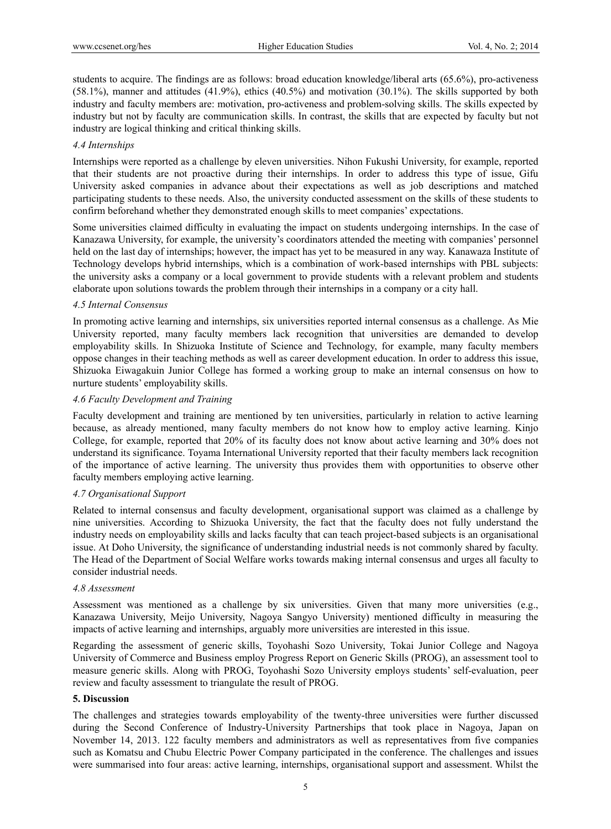students to acquire. The findings are as follows: broad education knowledge/liberal arts (65.6%), pro-activeness (58.1%), manner and attitudes (41.9%), ethics (40.5%) and motivation (30.1%). The skills supported by both industry and faculty members are: motivation, pro-activeness and problem-solving skills. The skills expected by industry but not by faculty are communication skills. In contrast, the skills that are expected by faculty but not industry are logical thinking and critical thinking skills.

## *4.4 Internships*

Internships were reported as a challenge by eleven universities. Nihon Fukushi University, for example, reported that their students are not proactive during their internships. In order to address this type of issue, Gifu University asked companies in advance about their expectations as well as job descriptions and matched participating students to these needs. Also, the university conducted assessment on the skills of these students to confirm beforehand whether they demonstrated enough skills to meet companies' expectations.

Some universities claimed difficulty in evaluating the impact on students undergoing internships. In the case of Kanazawa University, for example, the university's coordinators attended the meeting with companies' personnel held on the last day of internships; however, the impact has yet to be measured in any way. Kanawaza Institute of Technology develops hybrid internships, which is a combination of work-based internships with PBL subjects: the university asks a company or a local government to provide students with a relevant problem and students elaborate upon solutions towards the problem through their internships in a company or a city hall.

## *4.5 Internal Consensus*

In promoting active learning and internships, six universities reported internal consensus as a challenge. As Mie University reported, many faculty members lack recognition that universities are demanded to develop employability skills. In Shizuoka Institute of Science and Technology, for example, many faculty members oppose changes in their teaching methods as well as career development education. In order to address this issue, Shizuoka Eiwagakuin Junior College has formed a working group to make an internal consensus on how to nurture students' employability skills.

## *4.6 Faculty Development and Training*

Faculty development and training are mentioned by ten universities, particularly in relation to active learning because, as already mentioned, many faculty members do not know how to employ active learning. Kinjo College, for example, reported that 20% of its faculty does not know about active learning and 30% does not understand its significance. Toyama International University reported that their faculty members lack recognition of the importance of active learning. The university thus provides them with opportunities to observe other faculty members employing active learning.

# *4.7 Organisational Support*

Related to internal consensus and faculty development, organisational support was claimed as a challenge by nine universities. According to Shizuoka University, the fact that the faculty does not fully understand the industry needs on employability skills and lacks faculty that can teach project-based subjects is an organisational issue. At Doho University, the significance of understanding industrial needs is not commonly shared by faculty. The Head of the Department of Social Welfare works towards making internal consensus and urges all faculty to consider industrial needs.

## *4.8 Assessment*

Assessment was mentioned as a challenge by six universities. Given that many more universities (e.g., Kanazawa University, Meijo University, Nagoya Sangyo University) mentioned difficulty in measuring the impacts of active learning and internships, arguably more universities are interested in this issue.

Regarding the assessment of generic skills, Toyohashi Sozo University, Tokai Junior College and Nagoya University of Commerce and Business employ Progress Report on Generic Skills (PROG), an assessment tool to measure generic skills. Along with PROG, Toyohashi Sozo University employs students' self-evaluation, peer review and faculty assessment to triangulate the result of PROG.

## **5. Discussion**

The challenges and strategies towards employability of the twenty-three universities were further discussed during the Second Conference of Industry-University Partnerships that took place in Nagoya, Japan on November 14, 2013. 122 faculty members and administrators as well as representatives from five companies such as Komatsu and Chubu Electric Power Company participated in the conference. The challenges and issues were summarised into four areas: active learning, internships, organisational support and assessment. Whilst the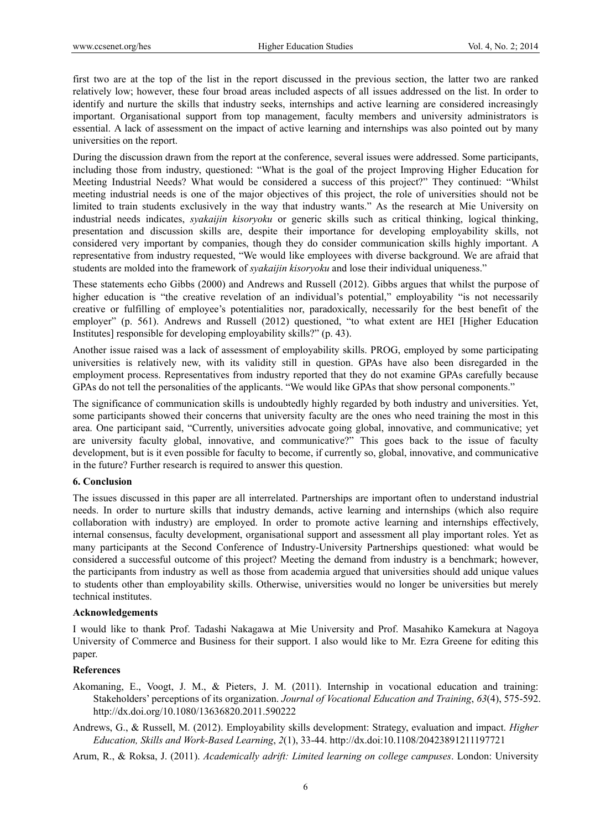first two are at the top of the list in the report discussed in the previous section, the latter two are ranked relatively low; however, these four broad areas included aspects of all issues addressed on the list. In order to identify and nurture the skills that industry seeks, internships and active learning are considered increasingly important. Organisational support from top management, faculty members and university administrators is essential. A lack of assessment on the impact of active learning and internships was also pointed out by many universities on the report.

During the discussion drawn from the report at the conference, several issues were addressed. Some participants, including those from industry, questioned: "What is the goal of the project Improving Higher Education for Meeting Industrial Needs? What would be considered a success of this project?" They continued: "Whilst meeting industrial needs is one of the major objectives of this project, the role of universities should not be limited to train students exclusively in the way that industry wants." As the research at Mie University on industrial needs indicates, *syakaijin kisoryoku* or generic skills such as critical thinking, logical thinking, presentation and discussion skills are, despite their importance for developing employability skills, not considered very important by companies, though they do consider communication skills highly important. A representative from industry requested, "We would like employees with diverse background. We are afraid that students are molded into the framework of *syakaijin kisoryoku* and lose their individual uniqueness."

These statements echo Gibbs (2000) and Andrews and Russell (2012). Gibbs argues that whilst the purpose of higher education is "the creative revelation of an individual's potential," employability "is not necessarily creative or fulfilling of employee's potentialities nor, paradoxically, necessarily for the best benefit of the employer" (p. 561). Andrews and Russell (2012) questioned, "to what extent are HEI [Higher Education Institutes] responsible for developing employability skills?" (p. 43).

Another issue raised was a lack of assessment of employability skills. PROG, employed by some participating universities is relatively new, with its validity still in question. GPAs have also been disregarded in the employment process. Representatives from industry reported that they do not examine GPAs carefully because GPAs do not tell the personalities of the applicants. "We would like GPAs that show personal components."

The significance of communication skills is undoubtedly highly regarded by both industry and universities. Yet, some participants showed their concerns that university faculty are the ones who need training the most in this area. One participant said, "Currently, universities advocate going global, innovative, and communicative; yet are university faculty global, innovative, and communicative?" This goes back to the issue of faculty development, but is it even possible for faculty to become, if currently so, global, innovative, and communicative in the future? Further research is required to answer this question.

## **6. Conclusion**

The issues discussed in this paper are all interrelated. Partnerships are important often to understand industrial needs. In order to nurture skills that industry demands, active learning and internships (which also require collaboration with industry) are employed. In order to promote active learning and internships effectively, internal consensus, faculty development, organisational support and assessment all play important roles. Yet as many participants at the Second Conference of Industry-University Partnerships questioned: what would be considered a successful outcome of this project? Meeting the demand from industry is a benchmark; however, the participants from industry as well as those from academia argued that universities should add unique values to students other than employability skills. Otherwise, universities would no longer be universities but merely technical institutes.

## **Acknowledgements**

I would like to thank Prof. Tadashi Nakagawa at Mie University and Prof. Masahiko Kamekura at Nagoya University of Commerce and Business for their support. I also would like to Mr. Ezra Greene for editing this paper.

## **References**

- Akomaning, E., Voogt, J. M., & Pieters, J. M. (2011). Internship in vocational education and training: Stakeholders' perceptions of its organization. *Journal of Vocational Education and Training*, *63*(4), 575-592. http://dx.doi.org/10.1080/13636820.2011.590222
- Andrews, G., & Russell, M. (2012). Employability skills development: Strategy, evaluation and impact. *Higher Education, Skills and Work-Based Learning*, *2*(1), 33-44. http://dx.doi:10.1108/20423891211197721

Arum, R., & Roksa, J. (2011). *Academically adrift: Limited learning on college campuses*. London: University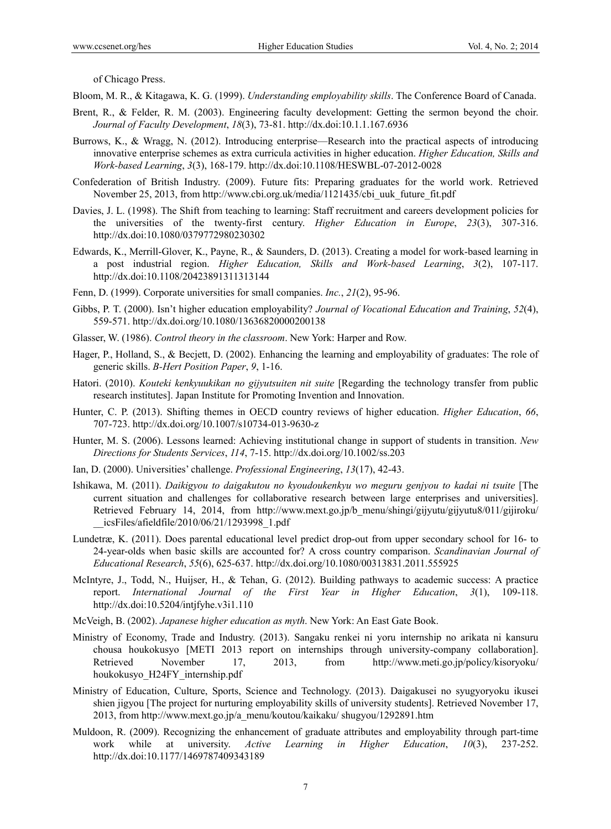of Chicago Press.

Bloom, M. R., & Kitagawa, K. G. (1999). *Understanding employability skills*. The Conference Board of Canada.

- Brent, R., & Felder, R. M. (2003). Engineering faculty development: Getting the sermon beyond the choir. *Journal of Faculty Development*, *18*(3), 73-81. http://dx.doi:10.1.1.167.6936
- Burrows, K., & Wragg, N. (2012). Introducing enterprise—Research into the practical aspects of introducing innovative enterprise schemes as extra curricula activities in higher education. *Higher Education, Skills and Work-based Learning*, *3*(3), 168-179. http://dx.doi:10.1108/HESWBL-07-2012-0028
- Confederation of British Industry. (2009). Future fits: Preparing graduates for the world work. Retrieved November 25, 2013, from http://www.cbi.org.uk/media/1121435/cbi\_uuk\_future\_fit.pdf
- Davies, J. L. (1998). The Shift from teaching to learning: Staff recruitment and careers development policies for the universities of the twenty-first century. *Higher Education in Europe*, *23*(3), 307-316. http://dx.doi:10.1080/0379772980230302
- Edwards, K., Merrill-Glover, K., Payne, R., & Saunders, D. (2013). Creating a model for work-based learning in a post industrial region. *Higher Education, Skills and Work-based Learning*, *3*(2), 107-117. http://dx.doi:10.1108/20423891311313144
- Fenn, D. (1999). Corporate universities for small companies. *Inc.*, *21*(2), 95-96.
- Gibbs, P. T. (2000). Isn't higher education employability? *Journal of Vocational Education and Training*, *52*(4), 559-571. http://dx.doi.org/10.1080/13636820000200138
- Glasser, W. (1986). *Control theory in the classroom*. New York: Harper and Row.
- Hager, P., Holland, S., & Becjett, D. (2002). Enhancing the learning and employability of graduates: The role of generic skills. *B-Hert Position Paper*, *9*, 1-16.
- Hatori. (2010). *Kouteki kenkyuukikan no gijyutsuiten nit suite* [Regarding the technology transfer from public research institutes]. Japan Institute for Promoting Invention and Innovation.
- Hunter, C. P. (2013). Shifting themes in OECD country reviews of higher education. *Higher Education*, *66*, 707-723. http://dx.doi.org/10.1007/s10734-013-9630-z
- Hunter, M. S. (2006). Lessons learned: Achieving institutional change in support of students in transition. *New Directions for Students Services*, *114*, 7-15. http://dx.doi.org/10.1002/ss.203
- Ian, D. (2000). Universities' challenge. *Professional Engineering*, *13*(17), 42-43.
- Ishikawa, M. (2011). *Daikigyou to daigakutou no kyoudoukenkyu wo meguru genjyou to kadai ni tsuite* [The current situation and challenges for collaborative research between large enterprises and universities]. Retrieved February 14, 2014, from http://www.mext.go.jp/b\_menu/shingi/gijyutu/gijyutu8/011/gijiroku/ \_\_icsFiles/afieldfile/2010/06/21/1293998\_1.pdf
- Lundetræ, K. (2011). Does parental educational level predict drop-out from upper secondary school for 16- to 24-year-olds when basic skills are accounted for? A cross country comparison. *Scandinavian Journal of Educational Research*, *55*(6), 625-637. http://dx.doi.org/10.1080/00313831.2011.555925
- McIntyre, J., Todd, N., Huijser, H., & Tehan, G. (2012). Building pathways to academic success: A practice report. *International Journal of the First Year in Higher Education*, *3*(1), 109-118. http://dx.doi:10.5204/intjfyhe.v3i1.110
- McVeigh, B. (2002). *Japanese higher education as myth*. New York: An East Gate Book.
- Ministry of Economy, Trade and Industry. (2013). Sangaku renkei ni yoru internship no arikata ni kansuru chousa houkokusyo [METI 2013 report on internships through university-company collaboration]. Retrieved November 17, 2013, from http://www.meti.go.jp/policy/kisoryoku/ houkokusyo\_H24FY\_internship.pdf
- Ministry of Education, Culture, Sports, Science and Technology. (2013). Daigakusei no syugyoryoku ikusei shien jigyou [The project for nurturing employability skills of university students]. Retrieved November 17, 2013, from http://www.mext.go.jp/a\_menu/koutou/kaikaku/ shugyou/1292891.htm
- Muldoon, R. (2009). Recognizing the enhancement of graduate attributes and employability through part-time work while at university. *Active Learning in Higher Education*, *10*(3), 237-252. http://dx.doi:10.1177/1469787409343189